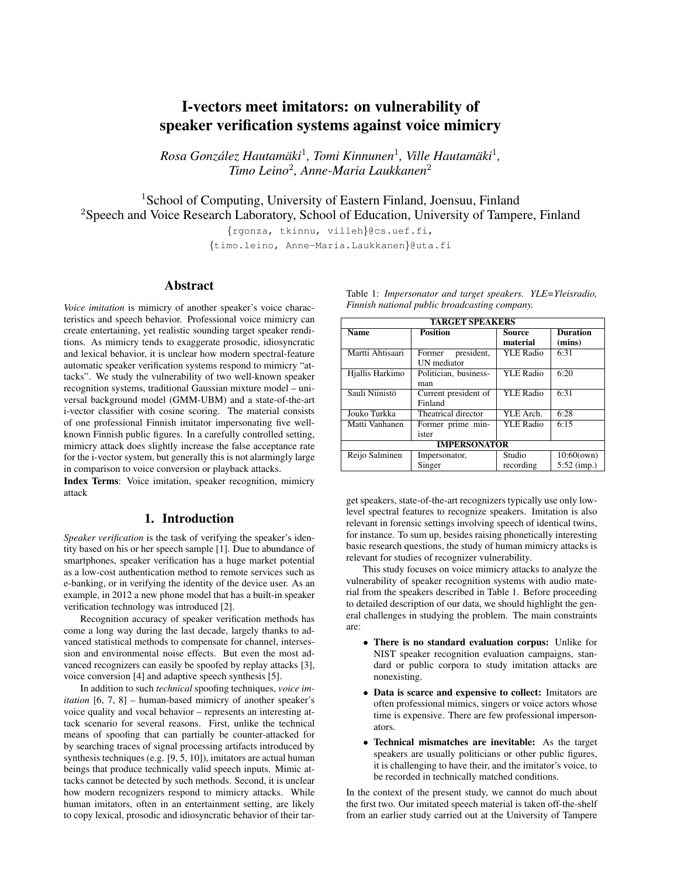# I-vectors meet imitators: on vulnerability of speaker verification systems against voice mimicry

 $R$ osa González Hautamäki<sup>1</sup>, Tomi Kinnunen<sup>1</sup>, Ville Hautamäki<sup>1</sup>, *Timo Leino*<sup>2</sup> *, Anne-Maria Laukkanen*<sup>2</sup>

<sup>1</sup>School of Computing, University of Eastern Finland, Joensuu, Finland <sup>2</sup>Speech and Voice Research Laboratory, School of Education, University of Tampere, Finland

{rgonza, tkinnu, villeh}@cs.uef.fi,

{timo.leino, Anne-Maria.Laukkanen}@uta.fi

# Abstract

*Voice imitation* is mimicry of another speaker's voice characteristics and speech behavior. Professional voice mimicry can create entertaining, yet realistic sounding target speaker renditions. As mimicry tends to exaggerate prosodic, idiosyncratic and lexical behavior, it is unclear how modern spectral-feature automatic speaker verification systems respond to mimicry "attacks". We study the vulnerability of two well-known speaker recognition systems, traditional Gaussian mixture model – universal background model (GMM-UBM) and a state-of-the-art i-vector classifier with cosine scoring. The material consists of one professional Finnish imitator impersonating five wellknown Finnish public figures. In a carefully controlled setting, mimicry attack does slightly increase the false acceptance rate for the i-vector system, but generally this is not alarmingly large in comparison to voice conversion or playback attacks.

Index Terms: Voice imitation, speaker recognition, mimicry attack

# 1. Introduction

*Speaker verification* is the task of verifying the speaker's identity based on his or her speech sample [1]. Due to abundance of smartphones, speaker verification has a huge market potential as a low-cost authentication method to remote services such as e-banking, or in verifying the identity of the device user. As an example, in 2012 a new phone model that has a built-in speaker verification technology was introduced [2].

Recognition accuracy of speaker verification methods has come a long way during the last decade, largely thanks to advanced statistical methods to compensate for channel, intersession and environmental noise effects. But even the most advanced recognizers can easily be spoofed by replay attacks [3], voice conversion [4] and adaptive speech synthesis [5].

In addition to such *technical* spoofing techniques, *voice imitation* [6, 7, 8] – human-based mimicry of another speaker's voice quality and vocal behavior – represents an interesting attack scenario for several reasons. First, unlike the technical means of spoofing that can partially be counter-attacked for by searching traces of signal processing artifacts introduced by synthesis techniques (e.g. [9, 5, 10]), imitators are actual human beings that produce technically valid speech inputs. Mimic attacks cannot be detected by such methods. Second, it is unclear how modern recognizers respond to mimicry attacks. While human imitators, often in an entertainment setting, are likely to copy lexical, prosodic and idiosyncratic behavior of their tar-

| <b>TARGET SPEAKERS</b> |                       |                  |                 |  |  |
|------------------------|-----------------------|------------------|-----------------|--|--|
| <b>Name</b>            | <b>Position</b>       | Source           | <b>Duration</b> |  |  |
|                        |                       | material         | (mins)          |  |  |
| Martti Ahtisaari       | Former president,     | <b>YLE Radio</b> | 6:31            |  |  |
|                        | <b>UN</b> mediator    |                  |                 |  |  |
| Hjallis Harkimo        | Politician, business- | <b>YLE Radio</b> | 6:20            |  |  |
|                        | man                   |                  |                 |  |  |
| Sauli Niinistö         | Current president of  | <b>YLE Radio</b> | 6:31            |  |  |
|                        | Finland               |                  |                 |  |  |
| Jouko Turkka           | Theatrical director   | YLE Arch.        | 6:28            |  |  |
| Matti Vanhanen         | Former prime min-     | <b>YLE Radio</b> | 6:15            |  |  |
|                        | ister                 |                  |                 |  |  |
| <b>IMPERSONATOR</b>    |                       |                  |                 |  |  |
| Reijo Salminen         | Impersonator,         | Studio           | 10:60(own)      |  |  |
|                        | Singer                | recording        | $5:52$ (imp.)   |  |  |

Table 1: *Impersonator and target speakers. YLE=Yleisradio, Finnish national public broadcasting company.*

get speakers, state-of-the-art recognizers typically use only lowlevel spectral features to recognize speakers. Imitation is also relevant in forensic settings involving speech of identical twins, for instance. To sum up, besides raising phonetically interesting basic research questions, the study of human mimicry attacks is relevant for studies of recognizer vulnerability.

This study focuses on voice mimicry attacks to analyze the vulnerability of speaker recognition systems with audio material from the speakers described in Table 1. Before proceeding to detailed description of our data, we should highlight the general challenges in studying the problem. The main constraints are:

- There is no standard evaluation corpus: Unlike for NIST speaker recognition evaluation campaigns, standard or public corpora to study imitation attacks are nonexisting.
- Data is scarce and expensive to collect: Imitators are often professional mimics, singers or voice actors whose time is expensive. There are few professional impersonators.
- Technical mismatches are inevitable: As the target speakers are usually politicians or other public figures, it is challenging to have their, and the imitator's voice, to be recorded in technically matched conditions.

In the context of the present study, we cannot do much about the first two. Our imitated speech material is taken off-the-shelf from an earlier study carried out at the University of Tampere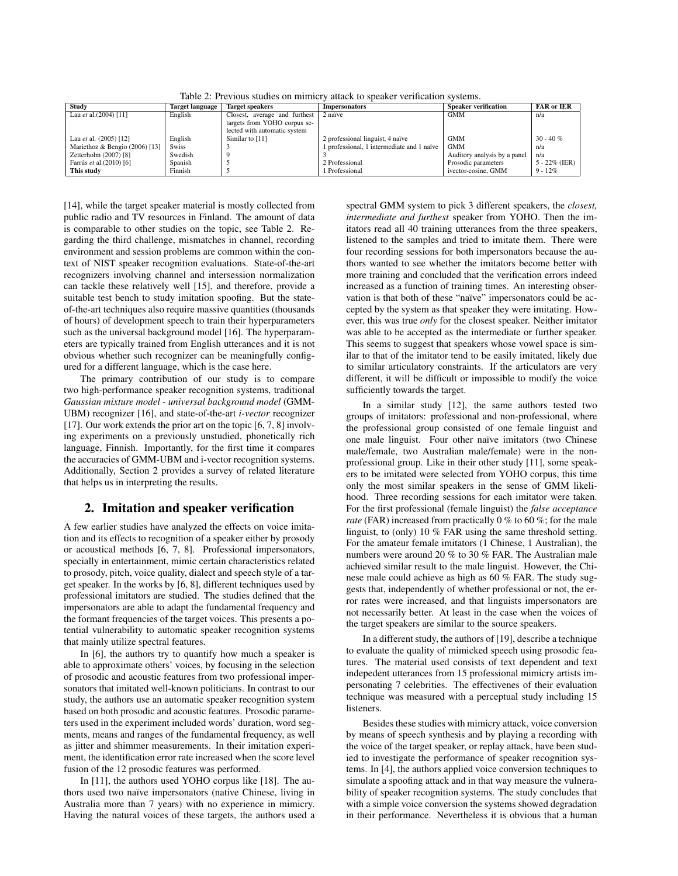Table 2: Previous studies on mimicry attack to speaker verification systems.

| Study                          | <b>Target language</b> | <b>Target speakers</b>        | <b>Impersonators</b>                       | <b>Speaker verification</b>  | <b>FAR</b> or <b>IER</b> |
|--------------------------------|------------------------|-------------------------------|--------------------------------------------|------------------------------|--------------------------|
| Lau et al. $(2004)$ [11]       | English                | Closest, average and furthest | 2 naïve                                    | <b>GMM</b>                   | n/a                      |
|                                |                        | targets from YOHO corpus se-  |                                            |                              |                          |
|                                |                        | lected with automatic system  |                                            |                              |                          |
| Lau et al. $(2005)$ [12]       | English                | Similar to [11]               | 2 professional linguist, 4 naïve           | <b>GMM</b>                   | $30 - 40 \%$             |
| Mariethoz & Bengio (2006) [13] | <b>Swiss</b>           |                               | 1 professional, 1 intermediate and 1 naïve | GMM                          | n/a                      |
| Zetterholm (2007) [8]          | Swedish                |                               |                                            | Auditory analysis by a panel | n/a                      |
| Farrús et al. (2010) [6]       | Spanish                |                               | 2 Professional                             | Prosodic parameters          | $5 - 22\%$ (IER)         |
| This study                     | Finnish                |                               | Professional                               | ivector-cosine, GMM          | $9 - 12\%$               |

[14], while the target speaker material is mostly collected from public radio and TV resources in Finland. The amount of data is comparable to other studies on the topic, see Table 2. Regarding the third challenge, mismatches in channel, recording environment and session problems are common within the context of NIST speaker recognition evaluations. State-of-the-art recognizers involving channel and intersession normalization can tackle these relatively well [15], and therefore, provide a suitable test bench to study imitation spoofing. But the stateof-the-art techniques also require massive quantities (thousands of hours) of development speech to train their hyperparameters such as the universal background model [16]. The hyperparameters are typically trained from English utterances and it is not obvious whether such recognizer can be meaningfully configured for a different language, which is the case here.

The primary contribution of our study is to compare two high-performance speaker recognition systems, traditional *Gaussian mixture model - universal background model* (GMM-UBM) recognizer [16], and state-of-the-art *i-vector* recognizer [17]. Our work extends the prior art on the topic [6, 7, 8] involving experiments on a previously unstudied, phonetically rich language, Finnish. Importantly, for the first time it compares the accuracies of GMM-UBM and i-vector recognition systems. Additionally, Section 2 provides a survey of related literature that helps us in interpreting the results.

# 2. Imitation and speaker verification

A few earlier studies have analyzed the effects on voice imitation and its effects to recognition of a speaker either by prosody or acoustical methods [6, 7, 8]. Professional impersonators, specially in entertainment, mimic certain characteristics related to prosody, pitch, voice quality, dialect and speech style of a target speaker. In the works by [6, 8], different techniques used by professional imitators are studied. The studies defined that the impersonators are able to adapt the fundamental frequency and the formant frequencies of the target voices. This presents a potential vulnerability to automatic speaker recognition systems that mainly utilize spectral features.

In [6], the authors try to quantify how much a speaker is able to approximate others' voices, by focusing in the selection of prosodic and acoustic features from two professional impersonators that imitated well-known politicians. In contrast to our study, the authors use an automatic speaker recognition system based on both prosodic and acoustic features. Prosodic parameters used in the experiment included words' duration, word segments, means and ranges of the fundamental frequency, as well as jitter and shimmer measurements. In their imitation experiment, the identification error rate increased when the score level fusion of the 12 prosodic features was performed.

In [11], the authors used YOHO corpus like [18]. The authors used two naïve impersonators (native Chinese, living in Australia more than 7 years) with no experience in mimicry. Having the natural voices of these targets, the authors used a spectral GMM system to pick 3 different speakers, the *closest, intermediate and furthest* speaker from YOHO. Then the imitators read all 40 training utterances from the three speakers, listened to the samples and tried to imitate them. There were four recording sessions for both impersonators because the authors wanted to see whether the imitators become better with more training and concluded that the verification errors indeed increased as a function of training times. An interesting observation is that both of these "naïve" impersonators could be accepted by the system as that speaker they were imitating. However, this was true *only* for the closest speaker. Neither imitator was able to be accepted as the intermediate or further speaker. This seems to suggest that speakers whose vowel space is similar to that of the imitator tend to be easily imitated, likely due to similar articulatory constraints. If the articulators are very different, it will be difficult or impossible to modify the voice sufficiently towards the target.

In a similar study [12], the same authors tested two groups of imitators: professional and non-professional, where the professional group consisted of one female linguist and one male linguist. Four other naïve imitators (two Chinese male/female, two Australian male/female) were in the nonprofessional group. Like in their other study [11], some speakers to be imitated were selected from YOHO corpus, this time only the most similar speakers in the sense of GMM likelihood. Three recording sessions for each imitator were taken. For the first professional (female linguist) the *false acceptance rate* (FAR) increased from practically 0 % to 60 %; for the male linguist, to (only) 10 % FAR using the same threshold setting. For the amateur female imitators (1 Chinese, 1 Australian), the numbers were around 20 % to 30 % FAR. The Australian male achieved similar result to the male linguist. However, the Chinese male could achieve as high as 60 % FAR. The study suggests that, independently of whether professional or not, the error rates were increased, and that linguists impersonators are not necessarily better. At least in the case when the voices of the target speakers are similar to the source speakers.

In a different study, the authors of [19], describe a technique to evaluate the quality of mimicked speech using prosodic features. The material used consists of text dependent and text indepedent utterances from 15 professional mimicry artists impersonating 7 celebrities. The effectivenes of their evaluation technique was measured with a perceptual study including 15 listeners.

Besides these studies with mimicry attack, voice conversion by means of speech synthesis and by playing a recording with the voice of the target speaker, or replay attack, have been studied to investigate the performance of speaker recognition systems. In [4], the authors applied voice conversion techniques to simulate a spoofing attack and in that way measure the vulnerability of speaker recognition systems. The study concludes that with a simple voice conversion the systems showed degradation in their performance. Nevertheless it is obvious that a human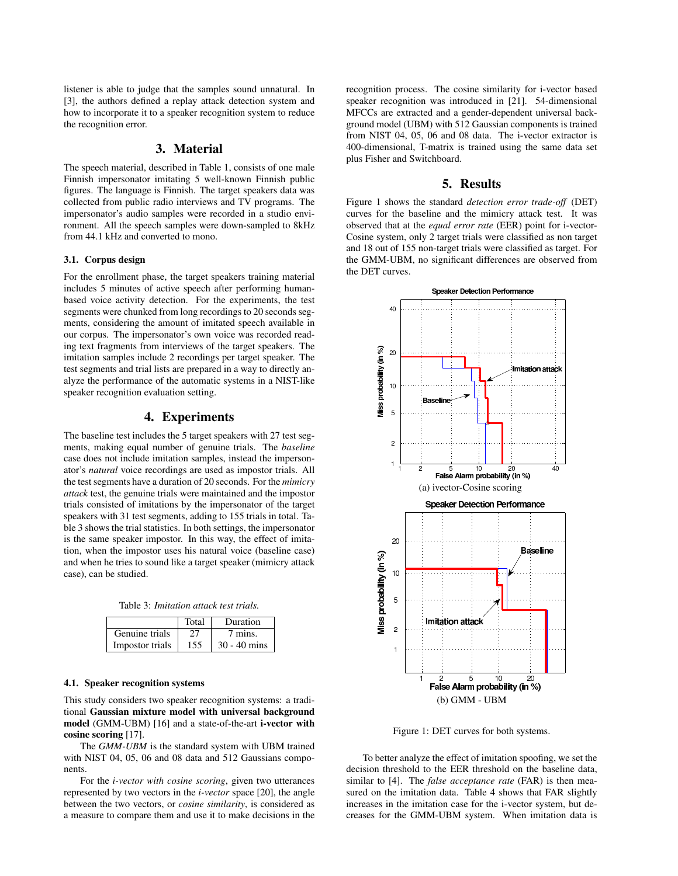listener is able to judge that the samples sound unnatural. In [3], the authors defined a replay attack detection system and how to incorporate it to a speaker recognition system to reduce the recognition error.

# 3. Material

The speech material, described in Table 1, consists of one male Finnish impersonator imitating 5 well-known Finnish public figures. The language is Finnish. The target speakers data was collected from public radio interviews and TV programs. The impersonator's audio samples were recorded in a studio environment. All the speech samples were down-sampled to 8kHz from 44.1 kHz and converted to mono.

### 3.1. Corpus design

For the enrollment phase, the target speakers training material includes 5 minutes of active speech after performing humanbased voice activity detection. For the experiments, the test segments were chunked from long recordings to 20 seconds segments, considering the amount of imitated speech available in our corpus. The impersonator's own voice was recorded reading text fragments from interviews of the target speakers. The imitation samples include 2 recordings per target speaker. The test segments and trial lists are prepared in a way to directly analyze the performance of the automatic systems in a NIST-like speaker recognition evaluation setting.

# 4. Experiments

The baseline test includes the 5 target speakers with 27 test segments, making equal number of genuine trials. The *baseline* case does not include imitation samples, instead the impersonator's *natural* voice recordings are used as impostor trials. All the test segments have a duration of 20 seconds. For the *mimicry attack* test, the genuine trials were maintained and the impostor trials consisted of imitations by the impersonator of the target speakers with 31 test segments, adding to 155 trials in total. Table 3 shows the trial statistics. In both settings, the impersonator is the same speaker impostor. In this way, the effect of imitation, when the impostor uses his natural voice (baseline case) and when he tries to sound like a target speaker (mimicry attack case), can be studied.

Table 3: *Imitation attack test trials.*

|                 | Total | Duration       |
|-----------------|-------|----------------|
| Genuine trials  | 27    | 7 mins.        |
| Impostor trials | 155   | $30 - 40$ mins |

#### 4.1. Speaker recognition systems

This study considers two speaker recognition systems: a traditional Gaussian mixture model with universal background model (GMM-UBM) [16] and a state-of-the-art i-vector with cosine scoring [17].

The *GMM-UBM* is the standard system with UBM trained with NIST 04, 05, 06 and 08 data and 512 Gaussians components.

For the *i-vector with cosine scoring*, given two utterances represented by two vectors in the *i-vector* space [20], the angle between the two vectors, or *cosine similarity*, is considered as a measure to compare them and use it to make decisions in the recognition process. The cosine similarity for i-vector based speaker recognition was introduced in [21]. 54-dimensional MFCCs are extracted and a gender-dependent universal background model (UBM) with 512 Gaussian components is trained from NIST 04, 05, 06 and 08 data. The i-vector extractor is 400-dimensional, T-matrix is trained using the same data set plus Fisher and Switchboard.

### 5. Results

Figure 1 shows the standard *detection error trade-off* (DET) curves for the baseline and the mimicry attack test. It was observed that at the *equal error rate* (EER) point for i-vector-Cosine system, only 2 target trials were classified as non target and 18 out of 155 non-target trials were classified as target. For the GMM-UBM, no significant differences are observed from the DET curves.



Figure 1: DET curves for both systems.

To better analyze the effect of imitation spoofing, we set the decision threshold to the EER threshold on the baseline data, similar to [4]. The *false acceptance rate* (FAR) is then measured on the imitation data. Table 4 shows that FAR slightly increases in the imitation case for the i-vector system, but decreases for the GMM-UBM system. When imitation data is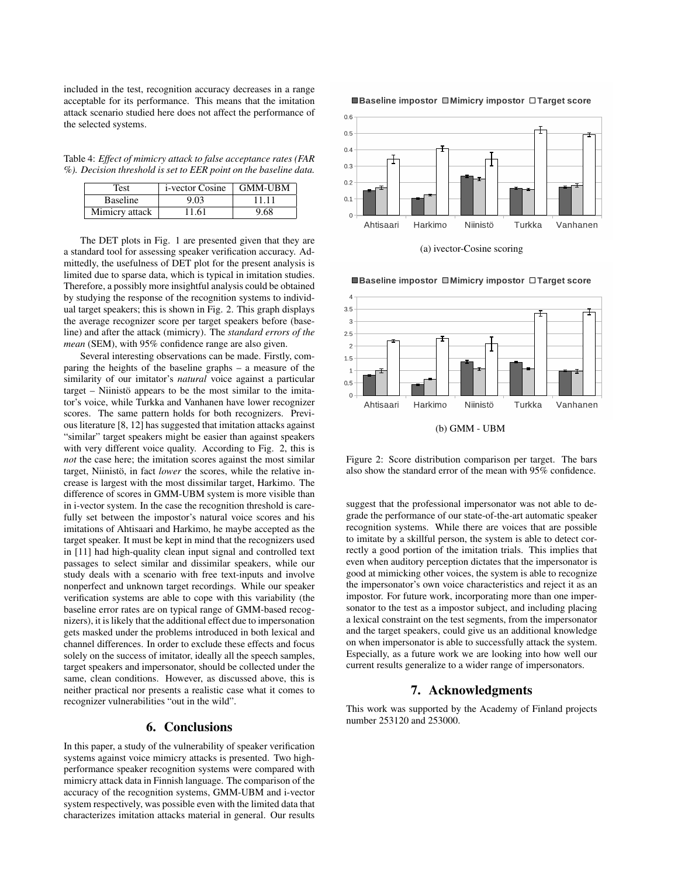included in the test, recognition accuracy decreases in a range acceptable for its performance. This means that the imitation attack scenario studied here does not affect the performance of the selected systems.

Table 4: *Effect of mimicry attack to false acceptance rates (FAR %). Decision threshold is set to EER point on the baseline data.*

| Test            | i-vector Cosine   GMM-UBM |       |
|-----------------|---------------------------|-------|
| <b>Baseline</b> | 9.03                      | 11 11 |
| Mimicry attack  | 11.61                     | 9.68  |

The DET plots in Fig. 1 are presented given that they are a standard tool for assessing speaker verification accuracy. Admittedly, the usefulness of DET plot for the present analysis is limited due to sparse data, which is typical in imitation studies. Therefore, a possibly more insightful analysis could be obtained by studying the response of the recognition systems to individual target speakers; this is shown in Fig. 2. This graph displays the average recognizer score per target speakers before (baseline) and after the attack (mimicry). The *standard errors of the mean* (SEM), with 95% confidence range are also given.

Several interesting observations can be made. Firstly, comparing the heights of the baseline graphs – a measure of the similarity of our imitator's *natural* voice against a particular  $target - N<sub>1</sub>$  appears to be the most similar to the imitator's voice, while Turkka and Vanhanen have lower recognizer scores. The same pattern holds for both recognizers. Previous literature [8, 12] has suggested that imitation attacks against "similar" target speakers might be easier than against speakers with very different voice quality. According to Fig. 2, this is *not* the case here; the imitation scores against the most similar target, Niinistö, in fact lower the scores, while the relative increase is largest with the most dissimilar target, Harkimo. The difference of scores in GMM-UBM system is more visible than in i-vector system. In the case the recognition threshold is carefully set between the impostor's natural voice scores and his imitations of Ahtisaari and Harkimo, he maybe accepted as the target speaker. It must be kept in mind that the recognizers used in [11] had high-quality clean input signal and controlled text passages to select similar and dissimilar speakers, while our study deals with a scenario with free text-inputs and involve nonperfect and unknown target recordings. While our speaker verification systems are able to cope with this variability (the baseline error rates are on typical range of GMM-based recognizers), it is likely that the additional effect due to impersonation gets masked under the problems introduced in both lexical and channel differences. In order to exclude these effects and focus solely on the success of imitator, ideally all the speech samples, target speakers and impersonator, should be collected under the same, clean conditions. However, as discussed above, this is neither practical nor presents a realistic case what it comes to recognizer vulnerabilities "out in the wild".

## 6. Conclusions

In this paper, a study of the vulnerability of speaker verification systems against voice mimicry attacks is presented. Two highperformance speaker recognition systems were compared with mimicry attack data in Finnish language. The comparison of the accuracy of the recognition systems, GMM-UBM and i-vector system respectively, was possible even with the limited data that characterizes imitation attacks material in general. Our results

#### ■Baseline impostor ■Mimicry impostor □Target score



(a) ivector-Cosine scoring



■Baseline impostor ■Mimicry impostor □Target score

Figure 2: Score distribution comparison per target. The bars also show the standard error of the mean with 95% confidence.

suggest that the professional impersonator was not able to degrade the performance of our state-of-the-art automatic speaker recognition systems. While there are voices that are possible to imitate by a skillful person, the system is able to detect correctly a good portion of the imitation trials. This implies that even when auditory perception dictates that the impersonator is good at mimicking other voices, the system is able to recognize the impersonator's own voice characteristics and reject it as an impostor. For future work, incorporating more than one impersonator to the test as a impostor subject, and including placing a lexical constraint on the test segments, from the impersonator and the target speakers, could give us an additional knowledge on when impersonator is able to successfully attack the system. Especially, as a future work we are looking into how well our current results generalize to a wider range of impersonators.

### 7. Acknowledgments

This work was supported by the Academy of Finland projects number 253120 and 253000.